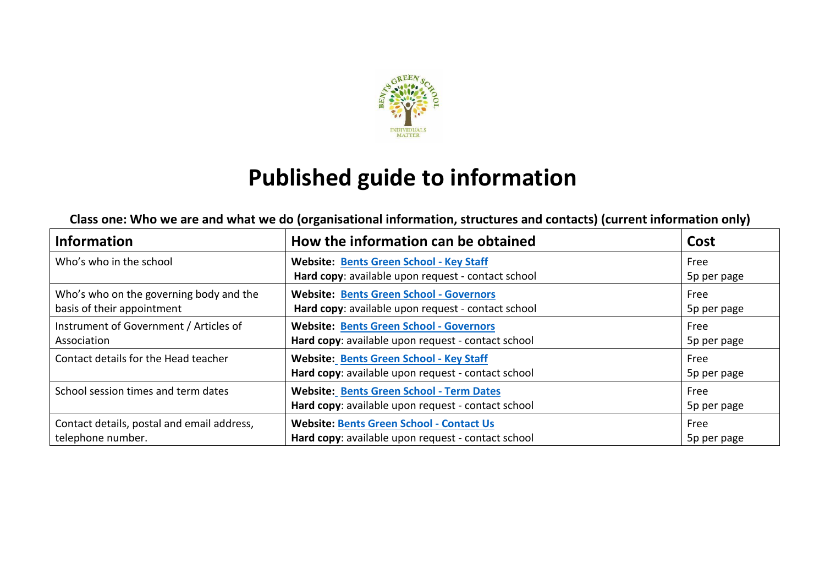

# **Published guide to information**

#### **Class one: Who we are and what we do (organisational information, structures and contacts) (current information only)**

| <b>Information</b>                                                    | How the information can be obtained                                                                   | Cost                |
|-----------------------------------------------------------------------|-------------------------------------------------------------------------------------------------------|---------------------|
| Who's who in the school                                               | <b>Website: Bents Green School - Key Staff</b><br>Hard copy: available upon request - contact school  | Free<br>5p per page |
| Who's who on the governing body and the<br>basis of their appointment | <b>Website: Bents Green School - Governors</b><br>Hard copy: available upon request - contact school  | Free<br>5p per page |
| Instrument of Government / Articles of<br>Association                 | <b>Website: Bents Green School - Governors</b><br>Hard copy: available upon request - contact school  | Free<br>5p per page |
| Contact details for the Head teacher                                  | <b>Website: Bents Green School - Key Staff</b><br>Hard copy: available upon request - contact school  | Free<br>5p per page |
| School session times and term dates                                   | <b>Website: Bents Green School - Term Dates</b><br>Hard copy: available upon request - contact school | Free<br>5p per page |
| Contact details, postal and email address,<br>telephone number.       | <b>Website: Bents Green School - Contact Us</b><br>Hard copy: available upon request - contact school | Free<br>5p per page |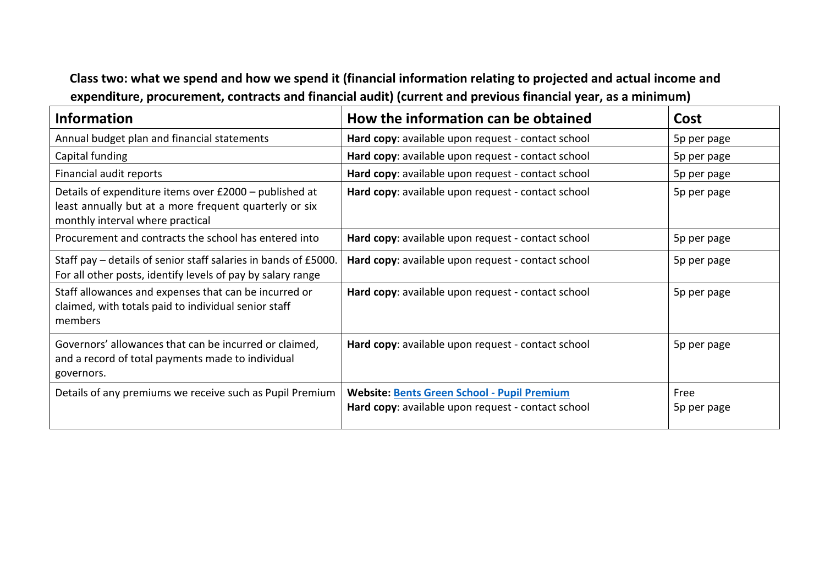#### **Class two: what we spend and how we spend it (financial information relating to projected and actual income and expenditure, procurement, contracts and financial audit) (current and previous financial year, as a minimum)**

| <b>Information</b>                                                                                                                                   | How the information can be obtained                                                                      | Cost                |
|------------------------------------------------------------------------------------------------------------------------------------------------------|----------------------------------------------------------------------------------------------------------|---------------------|
| Annual budget plan and financial statements                                                                                                          | Hard copy: available upon request - contact school                                                       | 5p per page         |
| Capital funding                                                                                                                                      | Hard copy: available upon request - contact school                                                       | 5p per page         |
| Financial audit reports                                                                                                                              | Hard copy: available upon request - contact school                                                       | 5p per page         |
| Details of expenditure items over £2000 - published at<br>least annually but at a more frequent quarterly or six<br>monthly interval where practical | Hard copy: available upon request - contact school                                                       | 5p per page         |
| Procurement and contracts the school has entered into                                                                                                | Hard copy: available upon request - contact school                                                       | 5p per page         |
| Staff pay – details of senior staff salaries in bands of £5000.<br>For all other posts, identify levels of pay by salary range                       | Hard copy: available upon request - contact school                                                       | 5p per page         |
| Staff allowances and expenses that can be incurred or<br>claimed, with totals paid to individual senior staff<br>members                             | Hard copy: available upon request - contact school                                                       | 5p per page         |
| Governors' allowances that can be incurred or claimed,<br>and a record of total payments made to individual<br>governors.                            | Hard copy: available upon request - contact school                                                       | 5p per page         |
| Details of any premiums we receive such as Pupil Premium                                                                                             | <b>Website: Bents Green School - Pupil Premium</b><br>Hard copy: available upon request - contact school | Free<br>5p per page |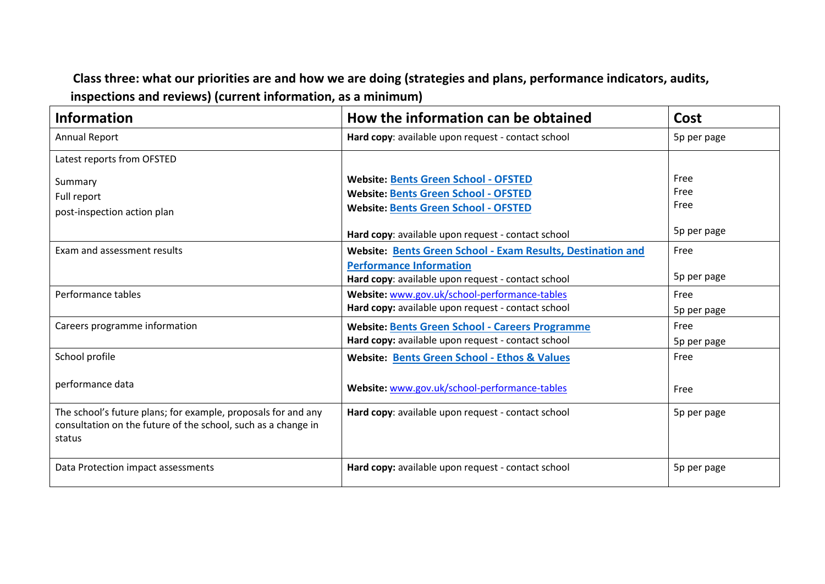### **Class three: what our priorities are and how we are doing (strategies and plans, performance indicators, audits, inspections and reviews) (current information, as a minimum)**

| How the information can be obtained<br><b>Information</b>                                                                                |                                                                                                                                                     | Cost                 |
|------------------------------------------------------------------------------------------------------------------------------------------|-----------------------------------------------------------------------------------------------------------------------------------------------------|----------------------|
| <b>Annual Report</b>                                                                                                                     | Hard copy: available upon request - contact school                                                                                                  | 5p per page          |
| Latest reports from OFSTED                                                                                                               |                                                                                                                                                     |                      |
| Summary<br>Full report<br>post-inspection action plan                                                                                    | <b>Website: Bents Green School - OFSTED</b><br>Website: Bents Green School - OFSTED<br>Website: Bents Green School - OFSTED                         | Free<br>Free<br>Free |
|                                                                                                                                          | Hard copy: available upon request - contact school                                                                                                  | 5p per page          |
| Exam and assessment results                                                                                                              | Website: Bents Green School - Exam Results, Destination and<br><b>Performance Information</b><br>Hard copy: available upon request - contact school | Free<br>5p per page  |
| Performance tables                                                                                                                       | Website: www.gov.uk/school-performance-tables<br>Hard copy: available upon request - contact school                                                 | Free<br>5p per page  |
| Careers programme information                                                                                                            | <b>Website: Bents Green School - Careers Programme</b><br>Hard copy: available upon request - contact school                                        | Free<br>5p per page  |
| School profile                                                                                                                           | Website: Bents Green School - Ethos & Values                                                                                                        | Free                 |
| performance data                                                                                                                         | Website: www.gov.uk/school-performance-tables                                                                                                       | Free                 |
| The school's future plans; for example, proposals for and any<br>consultation on the future of the school, such as a change in<br>status | Hard copy: available upon request - contact school                                                                                                  | 5p per page          |
| Data Protection impact assessments                                                                                                       | Hard copy: available upon request - contact school                                                                                                  | 5p per page          |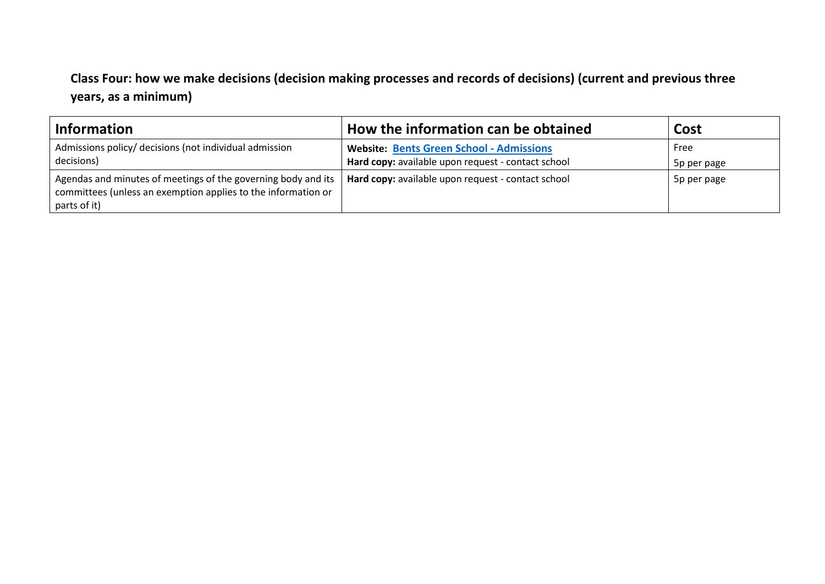### **Class Four: how we make decisions (decision making processes and records of decisions) (current and previous three years, as a minimum)**

| Information                                                                                                                                    | How the information can be obtained                                                                   | Cost                |
|------------------------------------------------------------------------------------------------------------------------------------------------|-------------------------------------------------------------------------------------------------------|---------------------|
| Admissions policy/ decisions (not individual admission<br>decisions)                                                                           | <b>Website: Bents Green School - Admissions</b><br>Hard copy: available upon request - contact school | Free<br>5p per page |
| Agendas and minutes of meetings of the governing body and its<br>committees (unless an exemption applies to the information or<br>parts of it) | Hard copy: available upon request - contact school                                                    | 5p per page         |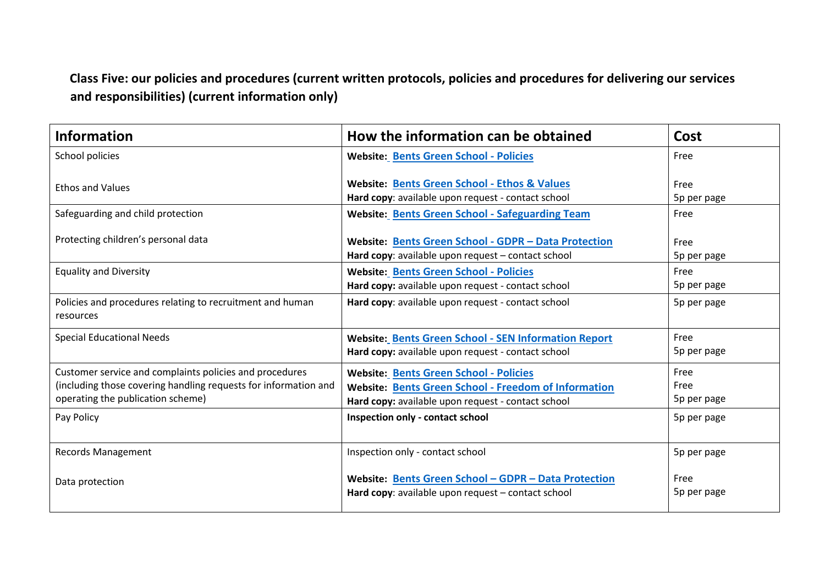### **Class Five: our policies and procedures (current written protocols, policies and procedures for delivering our services and responsibilities) (current information only)**

| <b>Information</b>                                                                                                                                              | How the information can be obtained                                                                                                                                | Cost                        |
|-----------------------------------------------------------------------------------------------------------------------------------------------------------------|--------------------------------------------------------------------------------------------------------------------------------------------------------------------|-----------------------------|
| School policies                                                                                                                                                 | <b>Website: Bents Green School - Policies</b>                                                                                                                      | Free                        |
| <b>Ethos and Values</b>                                                                                                                                         | <b>Website: Bents Green School - Ethos &amp; Values</b><br>Hard copy: available upon request - contact school                                                      | Free<br>5p per page         |
| Safeguarding and child protection                                                                                                                               | <b>Website: Bents Green School - Safeguarding Team</b>                                                                                                             | Free                        |
| Protecting children's personal data                                                                                                                             | Website: Bents Green School - GDPR - Data Protection<br>Hard copy: available upon request - contact school                                                         | Free<br>5p per page         |
| <b>Equality and Diversity</b>                                                                                                                                   | Website: Bents Green School - Policies<br>Hard copy: available upon request - contact school                                                                       | Free<br>5p per page         |
| Policies and procedures relating to recruitment and human<br>resources                                                                                          | Hard copy: available upon request - contact school                                                                                                                 | 5p per page                 |
| <b>Special Educational Needs</b>                                                                                                                                | <b>Website: Bents Green School - SEN Information Report</b><br>Hard copy: available upon request - contact school                                                  | Free<br>5p per page         |
| Customer service and complaints policies and procedures<br>(including those covering handling requests for information and<br>operating the publication scheme) | <b>Website: Bents Green School - Policies</b><br><b>Website: Bents Green School - Freedom of Information</b><br>Hard copy: available upon request - contact school | Free<br>Free<br>5p per page |
| Pay Policy                                                                                                                                                      | Inspection only - contact school                                                                                                                                   | 5p per page                 |
| <b>Records Management</b>                                                                                                                                       | Inspection only - contact school                                                                                                                                   | 5p per page                 |
| Data protection                                                                                                                                                 | Website: Bents Green School - GDPR - Data Protection<br>Hard copy: available upon request - contact school                                                         | Free<br>5p per page         |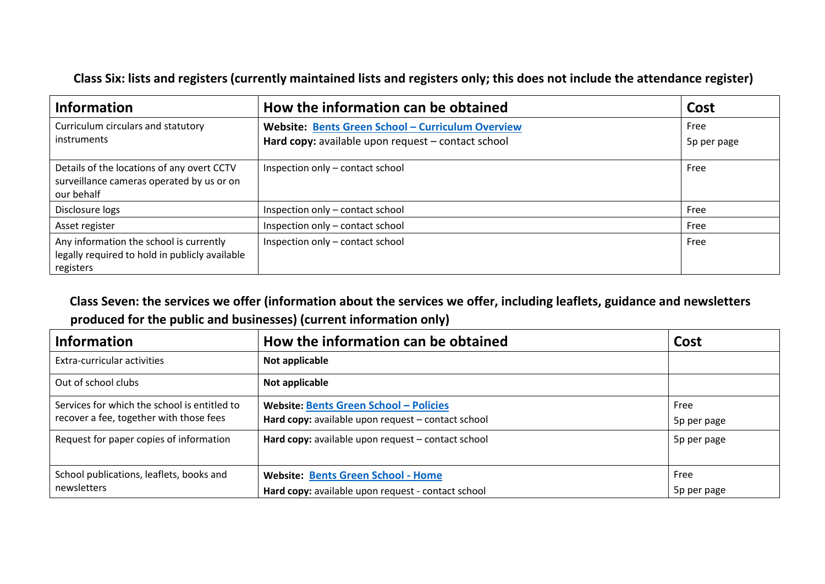**Class Six: lists and registers (currently maintained lists and registers only; this does not include the attendance register)**

| <b>Information</b>                                                                                     | How the information can be obtained                                                                     | Cost                |
|--------------------------------------------------------------------------------------------------------|---------------------------------------------------------------------------------------------------------|---------------------|
| Curriculum circulars and statutory<br>instruments                                                      | Website: Bents Green School - Curriculum Overview<br>Hard copy: available upon request - contact school | Free<br>5p per page |
| Details of the locations of any overt CCTV<br>surveillance cameras operated by us or on<br>our behalf  | Inspection only - contact school                                                                        | Free                |
| Disclosure logs                                                                                        | Inspection only - contact school                                                                        | Free                |
| Asset register                                                                                         | Inspection only - contact school                                                                        | Free                |
| Any information the school is currently<br>legally required to hold in publicly available<br>registers | Inspection only - contact school                                                                        | Free                |

**Class Seven: the services we offer (information about the services we offer, including leaflets, guidance and newsletters produced for the public and businesses) (current information only)** 

| <b>Information</b>                                                                      | How the information can be obtained                                                             | Cost                |
|-----------------------------------------------------------------------------------------|-------------------------------------------------------------------------------------------------|---------------------|
| Extra-curricular activities                                                             | Not applicable                                                                                  |                     |
| Out of school clubs                                                                     | Not applicable                                                                                  |                     |
| Services for which the school is entitled to<br>recover a fee, together with those fees | Website: Bents Green School - Policies<br>Hard copy: available upon request - contact school    | Free<br>5p per page |
| Request for paper copies of information                                                 | Hard copy: available upon request - contact school                                              | 5p per page         |
| School publications, leaflets, books and<br>newsletters                                 | <b>Website: Bents Green School - Home</b><br>Hard copy: available upon request - contact school | Free<br>5p per page |